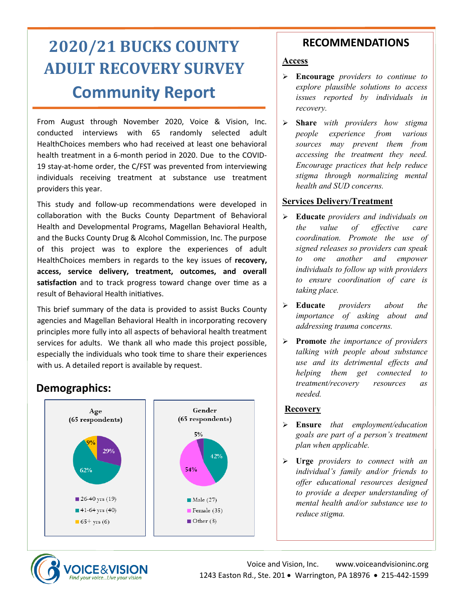# **2020/21 BUCKS COUNTY ADULT RECOVERY SURVEY Community Report**

From August through November 2020, Voice & Vision, Inc. conducted interviews with 65 randomly selected adult HealthChoices members who had received at least one behavioral health treatment in a 6-month period in 2020. Due to the COVID-19 stay-at-home order, the C/FST was prevented from interviewing individuals receiving treatment at substance use treatment providers this year.

This study and follow-up recommendations were developed in collaboration with the Bucks County Department of Behavioral Health and Developmental Programs, Magellan Behavioral Health, and the Bucks County Drug & Alcohol Commission, Inc. The purpose of this project was to explore the experiences of adult HealthChoices members in regards to the key issues of **recovery, access, service delivery, treatment, outcomes, and overall satisfaction** and to track progress toward change over time as a result of Behavioral Health initiatives.

This brief summary of the data is provided to assist Bucks County agencies and Magellan Behavioral Health in incorporating recovery principles more fully into all aspects of behavioral health treatment services for adults. We thank all who made this project possible, especially the individuals who took time to share their experiences with us. A detailed report is available by request.

# **Demographics:**



### **RECOMMENDATIONS**

### **Access**

- ➢ **Encourage** *providers to continue to explore plausible solutions to access issues reported by individuals in recovery.*
- ➢ **Share** *with providers how stigma people experience from various sources may prevent them from accessing the treatment they need. Encourage practices that help reduce stigma through normalizing mental health and SUD concerns.*

### **Services Delivery/Treatment**

- ➢ **Educate** *providers and individuals on the value of effective care coordination. Promote the use of signed releases so providers can speak to one another and empower individuals to follow up with providers to ensure coordination of care is taking place.*
- ➢ **Educate** *providers about the importance of asking about and addressing trauma concerns.*
- ➢ **Promote** *the importance of providers talking with people about substance use and its detrimental effects and helping them get connected to treatment/recovery resources as needed.*

### **Recovery**

- ➢ **Ensure** *that employment/education goals are part of a person's treatment plan when applicable.*
- ➢ **Urge** *providers to connect with an individual's family and/or friends to offer educational resources designed to provide a deeper understanding of mental health and/or substance use to reduce stigma.*

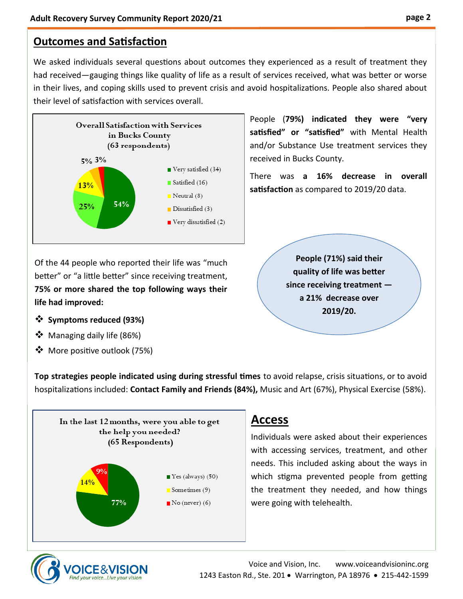# **Outcomes and Satisfaction**

We asked individuals several questions about outcomes they experienced as a result of treatment they had received—gauging things like quality of life as a result of services received, what was better or worse in their lives, and coping skills used to prevent crisis and avoid hospitalizations. People also shared about their level of satisfaction with services overall.



Of the 44 people who reported their life was "much better" or "a little better" since receiving treatment, **75% or more shared the top following ways their life had improved:**

- ❖ **Symptoms reduced (93%)**
- ❖ Managing daily life (86%)
- ❖ More positive outlook (75%)

People (**79%) indicated they were "very satisfied" or "satisfied"** with Mental Health and/or Substance Use treatment services they received in Bucks County.

There was **a 16% decrease in overall satisfaction** as compared to 2019/20 data.

> **People (71%) said their quality of life was better since receiving treatment a 21% decrease over 2019/20.**

**Top strategies people indicated using during stressful times** to avoid relapse, crisis situations, or to avoid hospitalizations included: **Contact Family and Friends (84%),** Music and Art (67%), Physical Exercise (58%).



# **Access**

Individuals were asked about their experiences with accessing services, treatment, and other needs. This included asking about the ways in which stigma prevented people from getting the treatment they needed, and how things were going with telehealth.

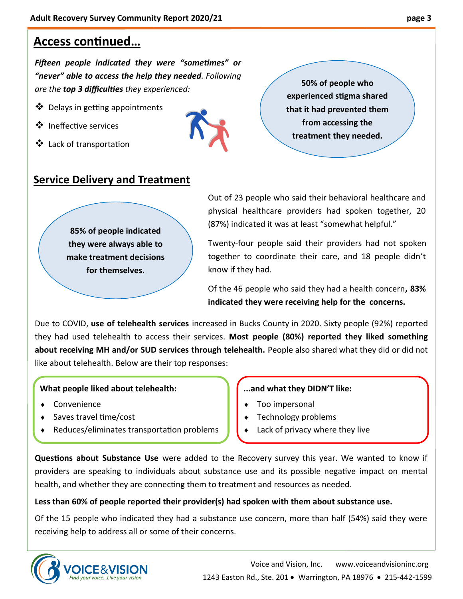# **Access continued…**

*Fifteen people indicated they were "sometimes" or "never" able to access the help they needed. Following are the top 3 difficulties they experienced:*

- ❖ Delays in getting appointments
- ❖ Ineffective services
- ❖ Lack of transportation



**50% of people who experienced stigma shared that it had prevented them from accessing the treatment they needed.**

### **Service Delivery and Treatment**

**85% of people indicated they were always able to make treatment decisions for themselves.**

Out of 23 people who said their behavioral healthcare and physical healthcare providers had spoken together, 20 (87%) indicated it was at least "somewhat helpful."

Twenty-four people said their providers had not spoken together to coordinate their care, and 18 people didn't know if they had.

Of the 46 people who said they had a health concern**, 83% indicated they were receiving help for the concerns.**

Due to COVID, **use of telehealth services** increased in Bucks County in 2020. Sixty people (92%) reported they had used telehealth to access their services. **Most people (80%) reported they liked something about receiving MH and/or SUD services through telehealth.** People also shared what they did or did not like about telehealth. Below are their top responses:

#### **What people liked about telehealth:**

- Convenience
- Saves travel time/cost
- Reduces/eliminates transportation problems

#### **...and what they DIDN'T like:**

- Too impersonal
- Technology problems
- Lack of privacy where they live

**Questions about Substance Use** were added to the Recovery survey this year. We wanted to know if providers are speaking to individuals about substance use and its possible negative impact on mental health, and whether they are connecting them to treatment and resources as needed.

#### **Less than 60% of people reported their provider(s) had spoken with them about substance use.**

Of the 15 people who indicated they had a substance use concern, more than half (54%) said they were receiving help to address all or some of their concerns.